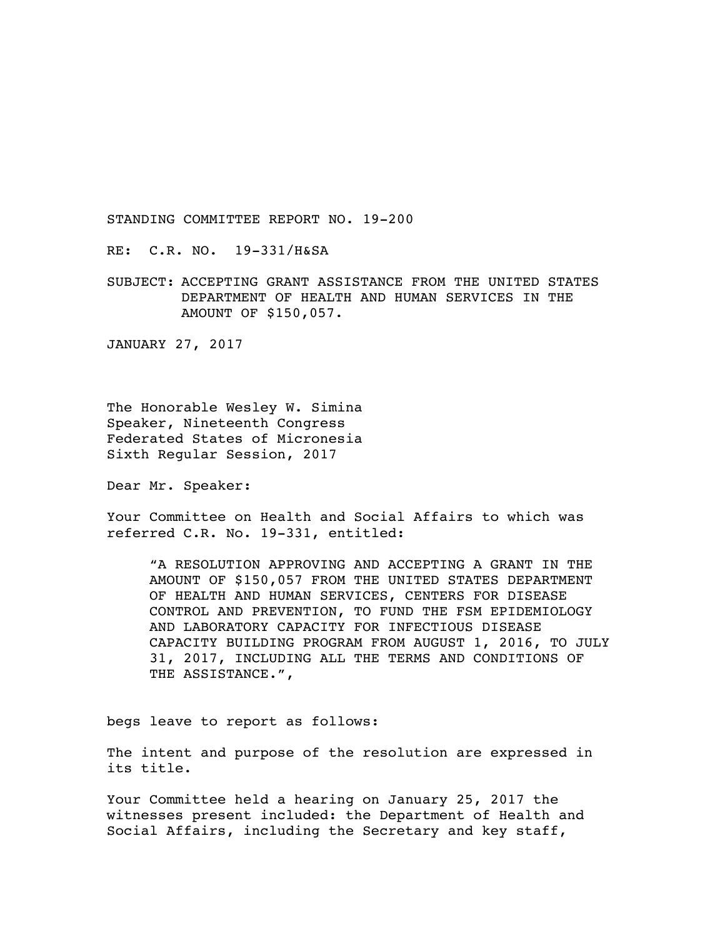RE: C.R. NO. 19-331/H&SA

SUBJECT: ACCEPTING GRANT ASSISTANCE FROM THE UNITED STATES DEPARTMENT OF HEALTH AND HUMAN SERVICES IN THE AMOUNT OF \$150,057.

JANUARY 27, 2017

The Honorable Wesley W. Simina Speaker, Nineteenth Congress Federated States of Micronesia Sixth Regular Session, 2017

Dear Mr. Speaker:

Your Committee on Health and Social Affairs to which was referred C.R. No. 19-331, entitled:

"A RESOLUTION APPROVING AND ACCEPTING A GRANT IN THE AMOUNT OF \$150,057 FROM THE UNITED STATES DEPARTMENT OF HEALTH AND HUMAN SERVICES, CENTERS FOR DISEASE CONTROL AND PREVENTION, TO FUND THE FSM EPIDEMIOLOGY AND LABORATORY CAPACITY FOR INFECTIOUS DISEASE CAPACITY BUILDING PROGRAM FROM AUGUST 1, 2016, TO JULY 31, 2017, INCLUDING ALL THE TERMS AND CONDITIONS OF THE ASSISTANCE.",

begs leave to report as follows:

The intent and purpose of the resolution are expressed in its title.

Your Committee held a hearing on January 25, 2017 the witnesses present included: the Department of Health and Social Affairs, including the Secretary and key staff,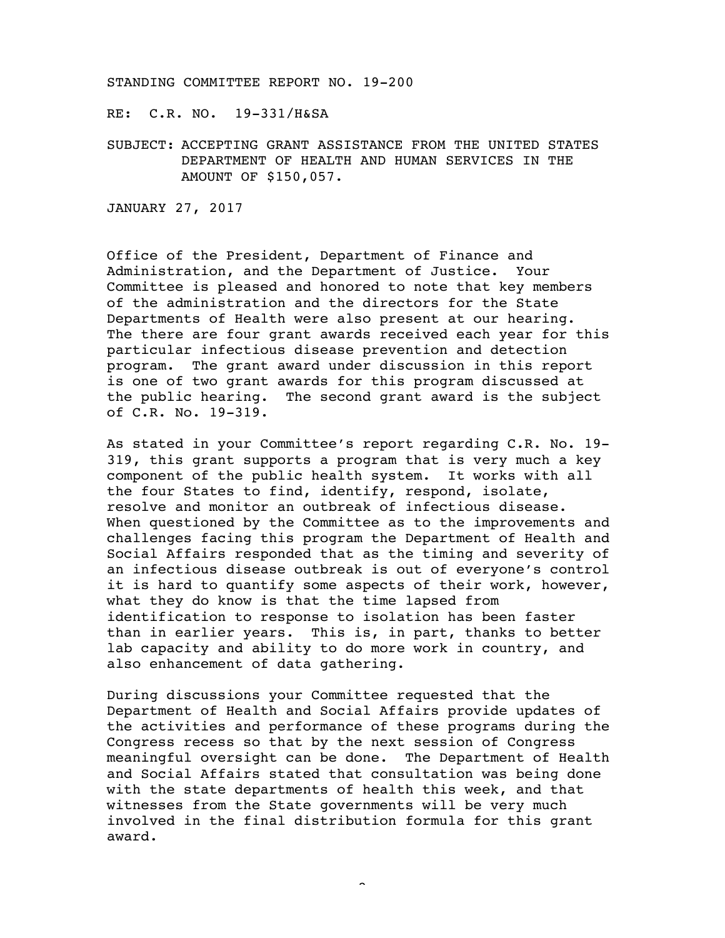RE: C.R. NO. 19-331/H&SA

SUBJECT: ACCEPTING GRANT ASSISTANCE FROM THE UNITED STATES DEPARTMENT OF HEALTH AND HUMAN SERVICES IN THE AMOUNT OF \$150,057.

JANUARY 27, 2017

Office of the President, Department of Finance and Administration, and the Department of Justice. Your Committee is pleased and honored to note that key members of the administration and the directors for the State Departments of Health were also present at our hearing. The there are four grant awards received each year for this particular infectious disease prevention and detection program. The grant award under discussion in this report is one of two grant awards for this program discussed at the public hearing. The second grant award is the subject of C.R. No. 19-319.

As stated in your Committee's report regarding C.R. No. 19- 319, this grant supports a program that is very much a key component of the public health system. It works with all the four States to find, identify, respond, isolate, resolve and monitor an outbreak of infectious disease. When questioned by the Committee as to the improvements and challenges facing this program the Department of Health and Social Affairs responded that as the timing and severity of an infectious disease outbreak is out of everyone's control it is hard to quantify some aspects of their work, however, what they do know is that the time lapsed from identification to response to isolation has been faster than in earlier years. This is, in part, thanks to better lab capacity and ability to do more work in country, and also enhancement of data gathering.

During discussions your Committee requested that the Department of Health and Social Affairs provide updates of the activities and performance of these programs during the Congress recess so that by the next session of Congress meaningful oversight can be done. The Department of Health and Social Affairs stated that consultation was being done with the state departments of health this week, and that witnesses from the State governments will be very much involved in the final distribution formula for this grant award.

-2-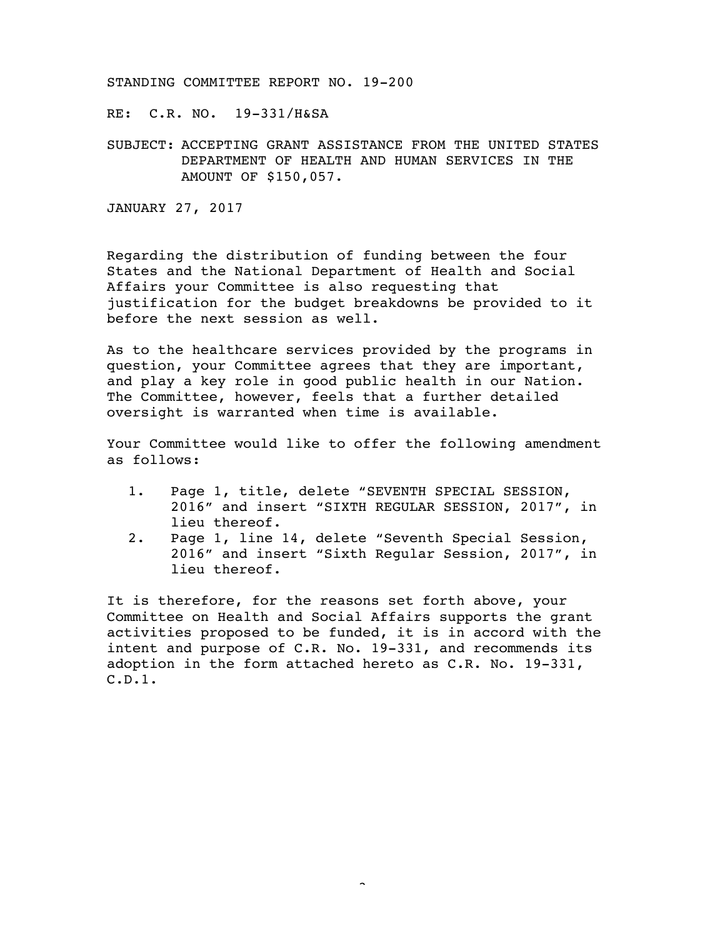RE: C.R. NO. 19-331/H&SA

SUBJECT: ACCEPTING GRANT ASSISTANCE FROM THE UNITED STATES DEPARTMENT OF HEALTH AND HUMAN SERVICES IN THE AMOUNT OF \$150,057.

JANUARY 27, 2017

Regarding the distribution of funding between the four States and the National Department of Health and Social Affairs your Committee is also requesting that justification for the budget breakdowns be provided to it before the next session as well.

As to the healthcare services provided by the programs in question, your Committee agrees that they are important, and play a key role in good public health in our Nation. The Committee, however, feels that a further detailed oversight is warranted when time is available.

Your Committee would like to offer the following amendment as follows:

- 1. Page 1, title, delete "SEVENTH SPECIAL SESSION, 2016" and insert "SIXTH REGULAR SESSION, 2017", in lieu thereof.
- 2. Page 1, line 14, delete "Seventh Special Session, 2016" and insert "Sixth Regular Session, 2017", in lieu thereof.

It is therefore, for the reasons set forth above, your Committee on Health and Social Affairs supports the grant activities proposed to be funded, it is in accord with the intent and purpose of C.R. No. 19-331, and recommends its adoption in the form attached hereto as C.R. No. 19-331, C.D.1.

 $\sim$